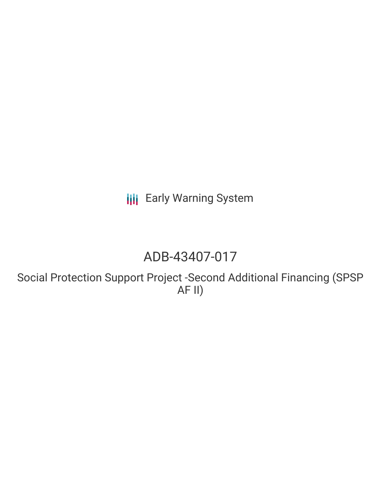**III** Early Warning System

# ADB-43407-017

Social Protection Support Project -Second Additional Financing (SPSP AF II)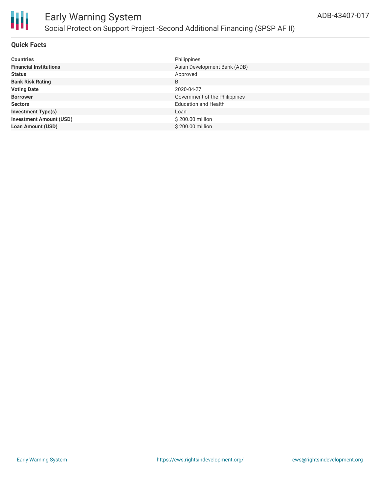

### **Quick Facts**

| <b>Countries</b>               | Philippines                   |
|--------------------------------|-------------------------------|
| <b>Financial Institutions</b>  | Asian Development Bank (ADB)  |
| <b>Status</b>                  | Approved                      |
| <b>Bank Risk Rating</b>        | B                             |
| <b>Voting Date</b>             | 2020-04-27                    |
| <b>Borrower</b>                | Government of the Philippines |
| <b>Sectors</b>                 | <b>Education and Health</b>   |
| <b>Investment Type(s)</b>      | Loan                          |
| <b>Investment Amount (USD)</b> | \$200.00 million              |
| <b>Loan Amount (USD)</b>       | \$200,00 million              |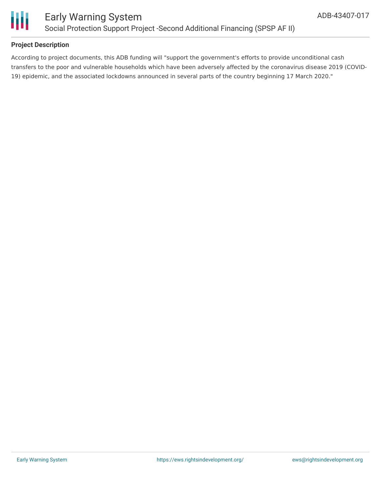

## **Project Description**

According to project documents, this ADB funding will "support the government's efforts to provide unconditional cash transfers to the poor and vulnerable households which have been adversely affected by the coronavirus disease 2019 (COVID-19) epidemic, and the associated lockdowns announced in several parts of the country beginning 17 March 2020."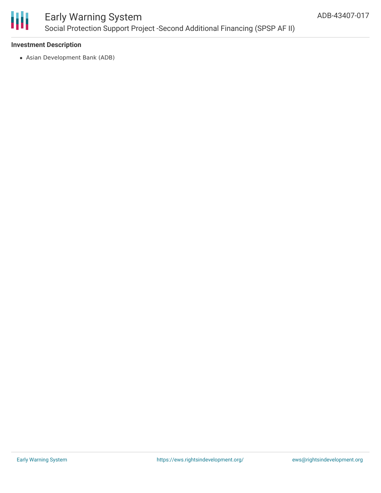

# Early Warning System Social Protection Support Project -Second Additional Financing (SPSP AF II)

### **Investment Description**

Asian Development Bank (ADB)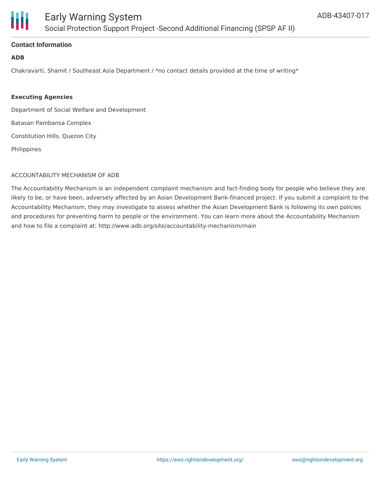

### **Contact Information**

### **ADB**

Chakravarti, Shamit / Southeast Asia Department / \*no contact details provided at the time of writing\*

#### **Executing Agencies**

Department of Social Welfare and Development

Batasan Pambansa Complex

Constitution Hills, Quezon City

Philippines

#### ACCOUNTABILITY MECHANISM OF ADB

The Accountability Mechanism is an independent complaint mechanism and fact-finding body for people who believe they are likely to be, or have been, adversely affected by an Asian Development Bank-financed project. If you submit a complaint to the Accountability Mechanism, they may investigate to assess whether the Asian Development Bank is following its own policies and procedures for preventing harm to people or the environment. You can learn more about the Accountability Mechanism and how to file a complaint at: http://www.adb.org/site/accountability-mechanism/main